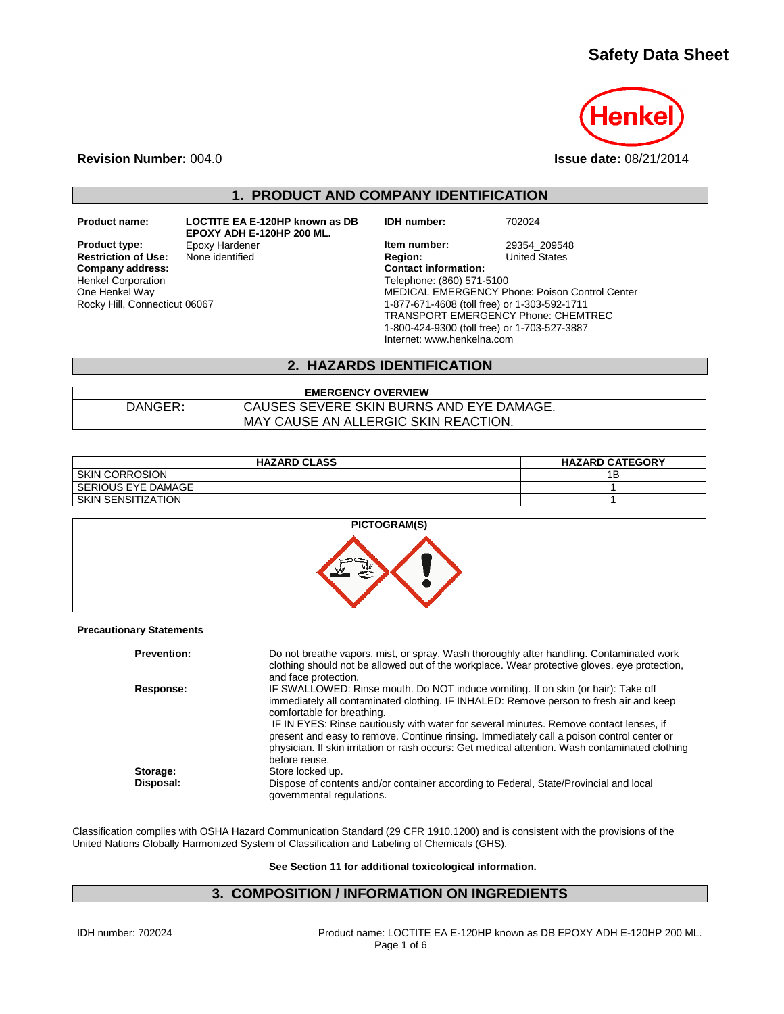# **Safety Data Sheet**



**Revision Number:** 004.0 **Issue date:** 08/21/2014

## **1. PRODUCT AND COMPANY IDENTIFICATION**

**Restriction of Use:**<br>Company address: Henkel Corporation One Henkel Way Rocky Hill, Connecticut 06067

**Product name: LOCTITE EA E-120HP known as DB EPOXY ADH E-120HP 200 ML.**

**IDH number:** 702024

**Product type:** Epoxy Hardener **In the Market West Herm number:** 29354\_209548<br> **Restriction of Use:** None identified **Interpretient Property Region:** United States **Company address: Contact information:** Telephone: (860) 571-5100 MEDICAL EMERGENCY Phone: Poison Control Center 1-877-671-4608 (toll free) or 1-303-592-1711 TRANSPORT EMERGENCY Phone: CHEMTREC 1-800-424-9300 (toll free) or 1-703-527-3887 Internet: www.henkelna.com

## **2. HAZARDS IDENTIFICATION**

**EMERGENCY OVERVIEW** DANGER**:** CAUSES SEVERE SKIN BURNS AND EYE DAMAGE. MAY CAUSE AN ALLERGIC SKIN REACTION.

| <b>HAZARD CLASS</b>       | <b>HAZARD CATEGORY</b> |
|---------------------------|------------------------|
| <b>SKIN CORROSION</b>     |                        |
| I SERIOUS EYE DAMAGE      |                        |
| <b>SKIN SENSITIZATION</b> |                        |



#### **Precautionary Statements**

| <b>Prevention:</b> | Do not breathe vapors, mist, or spray. Wash thoroughly after handling. Contaminated work<br>clothing should not be allowed out of the workplace. Wear protective gloves, eye protection,<br>and face protection.                                                                                                                                                                                                                                                                                                     |
|--------------------|----------------------------------------------------------------------------------------------------------------------------------------------------------------------------------------------------------------------------------------------------------------------------------------------------------------------------------------------------------------------------------------------------------------------------------------------------------------------------------------------------------------------|
| Response:          | IF SWALLOWED: Rinse mouth. Do NOT induce vomiting. If on skin (or hair): Take off<br>immediately all contaminated clothing. IF INHALED: Remove person to fresh air and keep<br>comfortable for breathing.<br>IF IN EYES: Rinse cautiously with water for several minutes. Remove contact lenses, if<br>present and easy to remove. Continue rinsing. Immediately call a poison control center or<br>physician. If skin irritation or rash occurs: Get medical attention. Wash contaminated clothing<br>before reuse. |
| Storage:           | Store locked up.                                                                                                                                                                                                                                                                                                                                                                                                                                                                                                     |
| Disposal:          | Dispose of contents and/or container according to Federal, State/Provincial and local<br>governmental regulations.                                                                                                                                                                                                                                                                                                                                                                                                   |

Classification complies with OSHA Hazard Communication Standard (29 CFR 1910.1200) and is consistent with the provisions of the United Nations Globally Harmonized System of Classification and Labeling of Chemicals (GHS).

**See Section 11 for additional toxicological information.**

## **3. COMPOSITION / INFORMATION ON INGREDIENTS**

IDH number: 702024 Product name: LOCTITE EA E-120HP known as DB EPOXY ADH E-120HP 200 ML. Page 1 of 6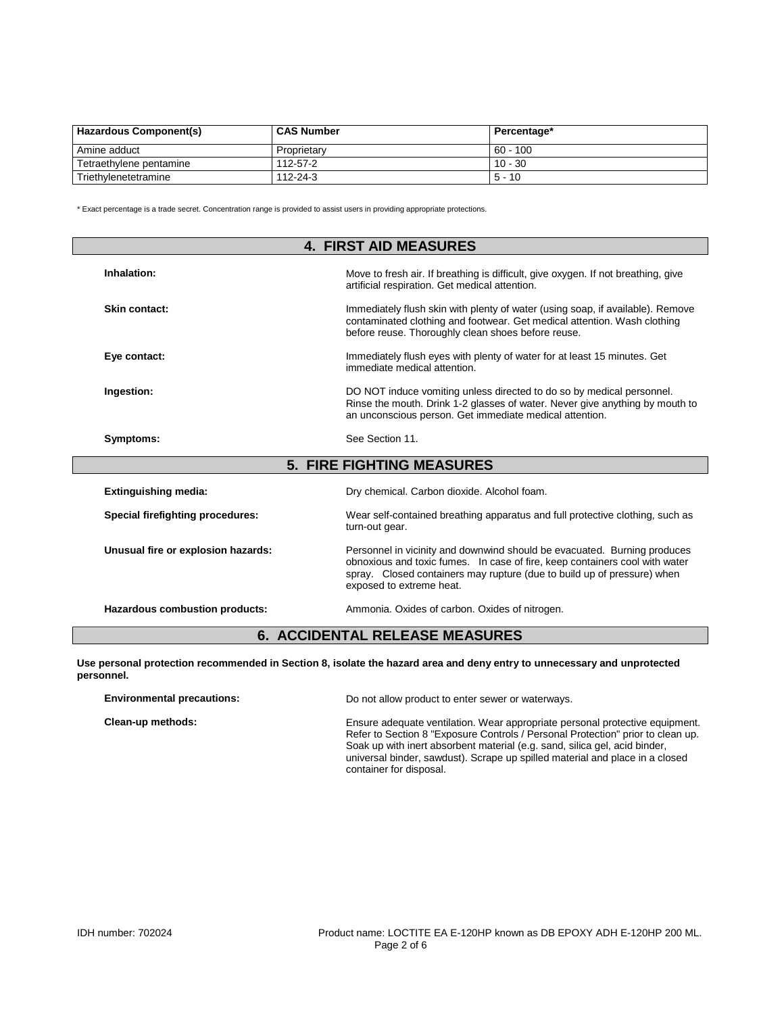| <b>Hazardous Component(s)</b> | <b>CAS Number</b> | Percentage* |
|-------------------------------|-------------------|-------------|
| Amine adduct                  | Proprietary       | $60 - 100$  |
| Tetraethylene pentamine       | 112-57-2          | $10 - 30$   |
| Triethylenetetramine          | 112-24-3          | $5 - 10$    |

\* Exact percentage is a trade secret. Concentration range is provided to assist users in providing appropriate protections.

| <b>4. FIRST AID MEASURES</b>       |                                                                                                                                                                                                                                                                |  |
|------------------------------------|----------------------------------------------------------------------------------------------------------------------------------------------------------------------------------------------------------------------------------------------------------------|--|
| Inhalation:                        | Move to fresh air. If breathing is difficult, give oxygen. If not breathing, give<br>artificial respiration. Get medical attention.                                                                                                                            |  |
| Skin contact:                      | Immediately flush skin with plenty of water (using soap, if available). Remove<br>contaminated clothing and footwear. Get medical attention. Wash clothing<br>before reuse. Thoroughly clean shoes before reuse.                                               |  |
| Eye contact:                       | Immediately flush eyes with plenty of water for at least 15 minutes. Get<br>immediate medical attention.                                                                                                                                                       |  |
| Ingestion:                         | DO NOT induce vomiting unless directed to do so by medical personnel.<br>Rinse the mouth. Drink 1-2 glasses of water. Never give anything by mouth to<br>an unconscious person. Get immediate medical attention.                                               |  |
| Symptoms:                          | See Section 11.                                                                                                                                                                                                                                                |  |
|                                    | <b>5. FIRE FIGHTING MEASURES</b>                                                                                                                                                                                                                               |  |
| <b>Extinguishing media:</b>        | Dry chemical. Carbon dioxide. Alcohol foam.                                                                                                                                                                                                                    |  |
| Special firefighting procedures:   | Wear self-contained breathing apparatus and full protective clothing, such as<br>turn-out gear.                                                                                                                                                                |  |
| Unusual fire or explosion hazards: | Personnel in vicinity and downwind should be evacuated. Burning produces<br>obnoxious and toxic fumes. In case of fire, keep containers cool with water<br>spray. Closed containers may rupture (due to build up of pressure) when<br>exposed to extreme heat. |  |
| Hazardous combustion products:     | Ammonia. Oxides of carbon. Oxides of nitrogen.                                                                                                                                                                                                                 |  |

## **6. ACCIDENTAL RELEASE MEASURES**

**Use personal protection recommended in Section 8, isolate the hazard area and deny entry to unnecessary and unprotected personnel.**

| <b>Environmental precautions:</b> | Do not allow product to enter sewer or waterways.                                                                                                                                                                                                                                                                                                        |
|-----------------------------------|----------------------------------------------------------------------------------------------------------------------------------------------------------------------------------------------------------------------------------------------------------------------------------------------------------------------------------------------------------|
| Clean-up methods:                 | Ensure adequate ventilation. Wear appropriate personal protective equipment.<br>Refer to Section 8 "Exposure Controls / Personal Protection" prior to clean up.<br>Soak up with inert absorbent material (e.g. sand, silica gel, acid binder,<br>universal binder, sawdust). Scrape up spilled material and place in a closed<br>container for disposal. |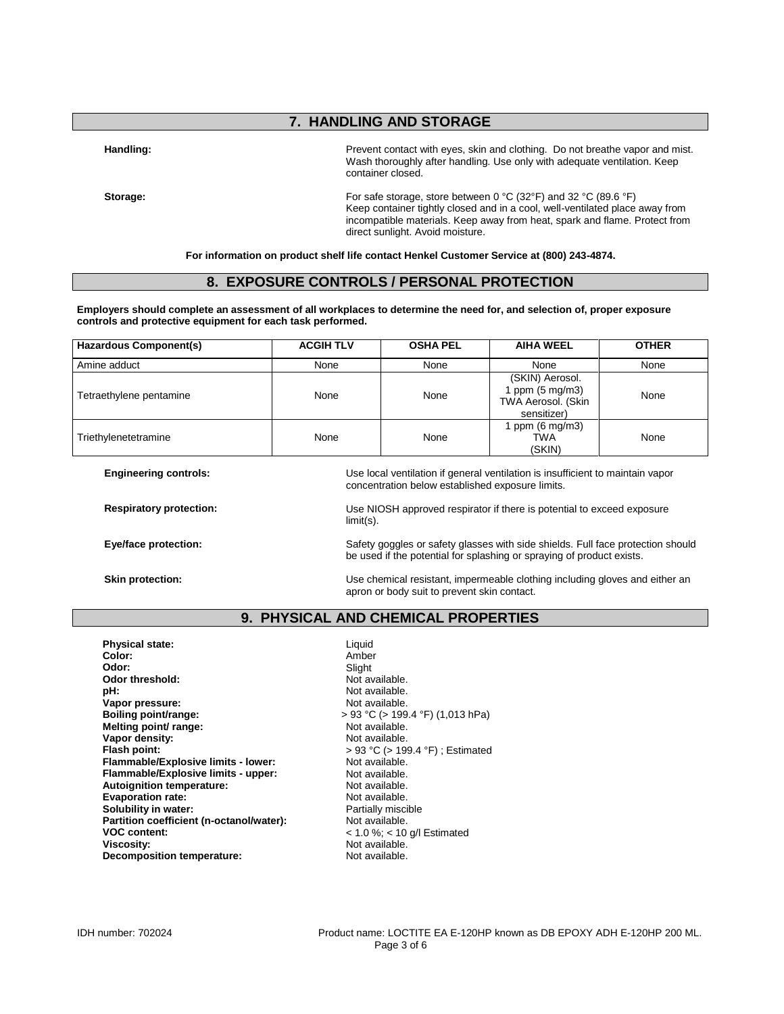## **7. HANDLING AND STORAGE**

Handling: **Handling: Prevent contact with eyes**, skin and clothing. Do not breathe vapor and mist. Wash thoroughly after handling. Use only with adequate ventilation. Keep container closed.

**Storage: Storage**: **For safe storage, store between 0 °C (32°F) and 32 °C (89.6 °F)** Keep container tightly closed and in a cool, well-ventilated place away from incompatible materials. Keep away from heat, spark and flame. Protect from direct sunlight. Avoid moisture.

**For information on product shelf life contact Henkel Customer Service at (800) 243-4874.**

## **8. EXPOSURE CONTROLS / PERSONAL PROTECTION**

**Employers should complete an assessment of all workplaces to determine the need for, and selection of, proper exposure controls and protective equipment for each task performed.**

| Hazardous Component(s)  | <b>ACGIH TLV</b> | <b>OSHA PEL</b> | <b>AIHA WEEL</b>                                                                  | <b>OTHER</b> |
|-------------------------|------------------|-----------------|-----------------------------------------------------------------------------------|--------------|
| Amine adduct            | None             | None            | None                                                                              | None         |
| Tetraethylene pentamine | None             | None            | (SKIN) Aerosol.<br>I ppm $(5 \text{ mg/m3})$<br>TWA Aerosol. (Skin<br>sensitizer) | None         |
| Triethylenetetramine    | None             | None            | ppm $(6 \text{ mg/m3})$<br>TWA<br>(SKIN)                                          | None         |

**Engineering controls:** Use local ventilation if general ventilation is insufficient to maintain vapor concentration below established exposure limits.

**Respiratory protection:** Use NIOSH approved respirator if there is potential to exceed exposure limit(s).

be used if the potential for splashing or spraying of product exists.

**Eye/face protection:** Safety goggles or safety glasses with side shields. Full face protection should

**Skin protection: Skin protection:** Use chemical resistant, impermeable clothing including gloves and either an apron or body suit to prevent skin contact.

## **9. PHYSICAL AND CHEMICAL PROPERTIES**

**Physical state:** Liquid Color: Liquid Color: **Color:** Amber **Odor:** Slight **Odor threshold:** Not available.<br> **pH:** Not available. **Vapor pressure:**<br>Boiling point/range: **Melting point/ range: Vapor density:**<br>
Flash point:<br>  $\begin{aligned} \text{Plash point:} \\ &> 93 \text{ °C} (> 191 \text{ °C}) \end{aligned}$ **Flammable/Explosive limits - lower:** Not available.<br> **Flammable/Explosive limits - upper:** Not available. **Flammable/Explosive limits - upper:** Not available.<br> **Autoignition temperature:** Not available. **Autoignition temperature: Evaporation rate:**<br> **Solubility in water:** Not available.<br> **Solubility in water:** Not are not a set of Partially miscible. **Solubility in water: Partially misch continues to the U.S. Partially misch property of Partially misch property**<br> **Partition coefficient (n-octanol/water):** Not available. Partition coefficient (n-octanol/water): **VOC content:** < 1.0 %; < 10 g/l Estimated **Viscosity: Viscosity:** Not available.<br> **Decomposition temperature:** Not available. **Decomposition temperature:** 

Not available.<br>Not available. **boiling boiling point (1,013 hPa)**<br>Not available. **Flash point:** > 93 °C (> 199.4 °F) ; Estimated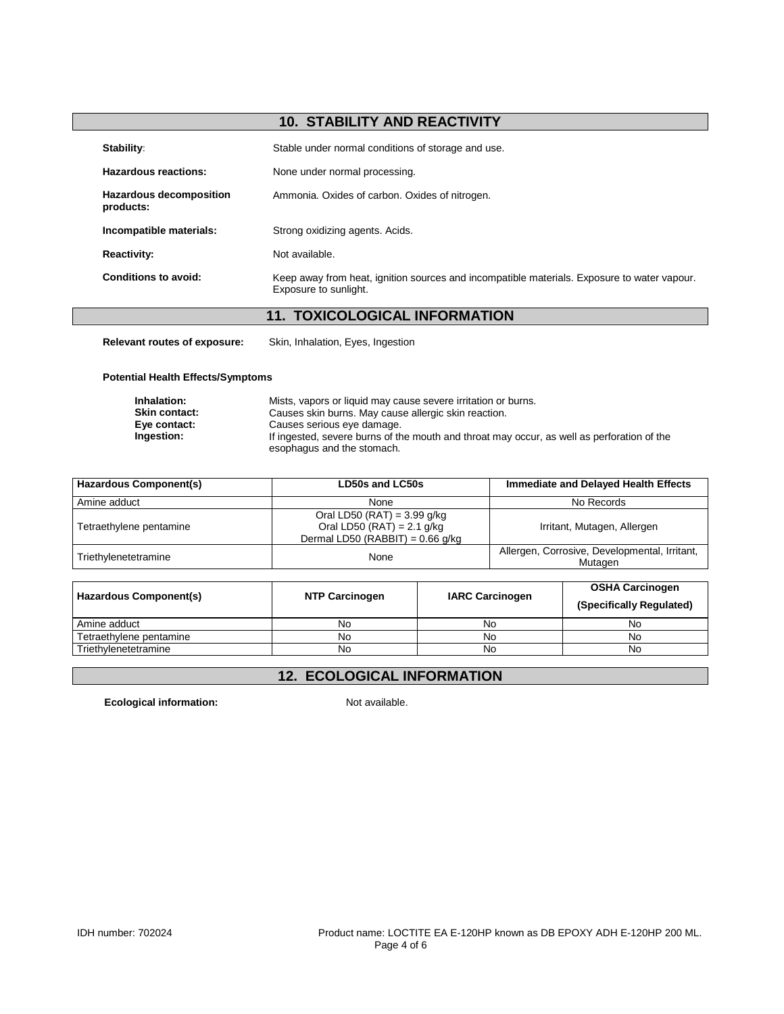## **10. STABILITY AND REACTIVITY**

| Stability:                                  | Stable under normal conditions of storage and use.                                                                   |
|---------------------------------------------|----------------------------------------------------------------------------------------------------------------------|
| Hazardous reactions:                        | None under normal processing.                                                                                        |
| <b>Hazardous decomposition</b><br>products: | Ammonia. Oxides of carbon. Oxides of nitrogen.                                                                       |
| Incompatible materials:                     | Strong oxidizing agents. Acids.                                                                                      |
| <b>Reactivity:</b>                          | Not available.                                                                                                       |
| Conditions to avoid:                        | Keep away from heat, ignition sources and incompatible materials. Exposure to water vapour.<br>Exposure to sunlight. |
|                                             | <b>11. TOXICOLOGICAL INFORMATION</b>                                                                                 |

**Relevant routes of exposure:** Skin, Inhalation, Eyes, Ingestion

**Potential Health Effects/Symptoms**

| Inhalation:          | Mists, vapors or liquid may cause severe irritation or burns.                                                            |
|----------------------|--------------------------------------------------------------------------------------------------------------------------|
| <b>Skin contact:</b> | Causes skin burns. May cause allergic skin reaction.                                                                     |
| Eye contact:         | Causes serious eye damage.                                                                                               |
| Ingestion:           | If ingested, severe burns of the mouth and throat may occur, as well as perforation of the<br>esophagus and the stomach. |

| Hazardous Component(s)  | LD50s and LC50s                                                                                     | <b>Immediate and Delayed Health Effects</b>              |
|-------------------------|-----------------------------------------------------------------------------------------------------|----------------------------------------------------------|
| Amine adduct            | None                                                                                                | No Records                                               |
| Tetraethylene pentamine | Oral LD50 (RAT) = $3.99$ g/kg<br>Oral LD50 (RAT) = $2.1$ g/kg<br>Dermal LD50 (RABBIT) = $0.66$ g/kg | Irritant, Mutagen, Allergen                              |
| Triethylenetetramine    | None                                                                                                | Allergen, Corrosive, Developmental, Irritant,<br>Mutagen |
|                         |                                                                                                     |                                                          |

| <b>Hazardous Component(s)</b> | <b>NTP Carcinogen</b> | <b>IARC Carcinogen</b> | <b>OSHA Carcinogen</b><br>(Specifically Regulated) |  |
|-------------------------------|-----------------------|------------------------|----------------------------------------------------|--|
| Amine adduct                  | No                    | No                     | No                                                 |  |
| Tetraethylene pentamine       | No                    | No                     | No                                                 |  |
| Triethylenetetramine          | No                    | No                     | No                                                 |  |

# **12. ECOLOGICAL INFORMATION**

**Ecological information:** Not available.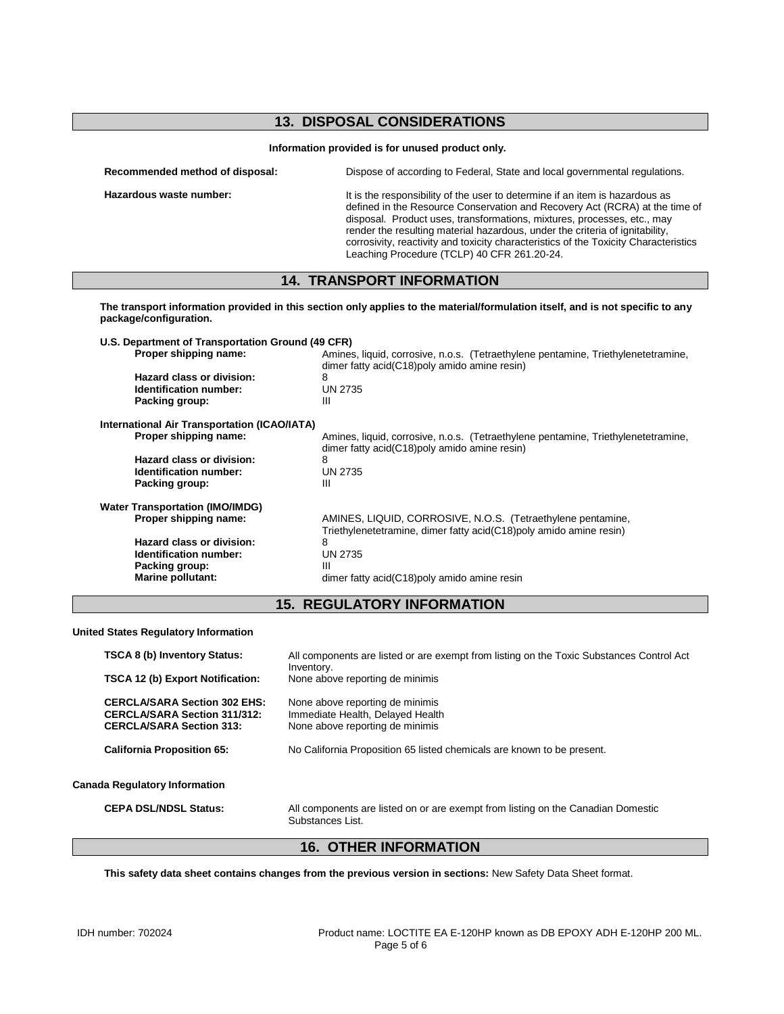## **13. DISPOSAL CONSIDERATIONS**

| Information provided is for unused product only. |  |  |  |  |  |  |
|--------------------------------------------------|--|--|--|--|--|--|
|--------------------------------------------------|--|--|--|--|--|--|

| Recommended method of disposal: | Dispose of according to Federal, State and local governmental regulations.                                                                               |
|---------------------------------|----------------------------------------------------------------------------------------------------------------------------------------------------------|
| Hazardous waste number:         | It is the responsibility of the user to determine if an item is hazardous as<br>defined in the Pensuras Consequetion and Pensurau Act (PCPA) of the time |

defined in the Resource Conservation and Recovery Act (RCRA) at the time of disposal. Product uses, transformations, mixtures, processes, etc., may render the resulting material hazardous, under the criteria of ignitability, corrosivity, reactivity and toxicity characteristics of the Toxicity Characteristics Leaching Procedure (TCLP) 40 CFR 261.20-24.

## **14. TRANSPORT INFORMATION**

**The transport information provided in this section only applies to the material/formulation itself, and is not specific to any package/configuration.**

| U.S. Department of Transportation Ground (49 CFR) |                                                                                                                                   |
|---------------------------------------------------|-----------------------------------------------------------------------------------------------------------------------------------|
| Proper shipping name:                             | Amines, liquid, corrosive, n.o.s. (Tetraethylene pentamine, Triethylenetetramine,<br>dimer fatty acid(C18)poly amido amine resin) |
| Hazard class or division:                         | 8                                                                                                                                 |
| <b>Identification number:</b>                     | <b>UN 2735</b>                                                                                                                    |
| Packing group:                                    | Ш                                                                                                                                 |
| International Air Transportation (ICAO/IATA)      |                                                                                                                                   |
| Proper shipping name:                             | Amines, liquid, corrosive, n.o.s. (Tetraethylene pentamine, Triethylenetetramine,<br>dimer fatty acid(C18)poly amido amine resin) |
| Hazard class or division:                         | 8                                                                                                                                 |
| Identification number:                            | <b>UN 2735</b>                                                                                                                    |
| Packing group:                                    | Ш                                                                                                                                 |
| <b>Water Transportation (IMO/IMDG)</b>            |                                                                                                                                   |
| Proper shipping name:                             | AMINES, LIQUID, CORROSIVE, N.O.S. (Tetraethylene pentamine,<br>Triethylenetetramine, dimer fatty acid(C18)poly amido amine resin) |
| Hazard class or division:                         | 8                                                                                                                                 |
| <b>Identification number:</b>                     | <b>UN 2735</b>                                                                                                                    |
| Packing group:                                    | Ш                                                                                                                                 |
| Marine pollutant:                                 | dimer fatty acid(C18)poly amido amine resin                                                                                       |

## **15. REGULATORY INFORMATION**

**United States Regulatory Information**

| <b>TSCA 8 (b) Inventory Status:</b><br><b>TSCA 12 (b) Export Notification:</b>                                | All components are listed or are exempt from listing on the Toxic Substances Control Act<br>Inventory.<br>None above reporting de minimis |
|---------------------------------------------------------------------------------------------------------------|-------------------------------------------------------------------------------------------------------------------------------------------|
| <b>CERCLA/SARA Section 302 EHS:</b><br><b>CERCLA/SARA Section 311/312:</b><br><b>CERCLA/SARA Section 313:</b> | None above reporting de minimis<br>Immediate Health, Delayed Health<br>None above reporting de minimis                                    |
| <b>California Proposition 65:</b>                                                                             | No California Proposition 65 listed chemicals are known to be present.                                                                    |
| <b>Canada Regulatory Information</b>                                                                          |                                                                                                                                           |
| <b>CEPA DSL/NDSL Status:</b>                                                                                  | All components are listed on or are exempt from listing on the Canadian Domestic<br>Substances List.                                      |

## **16. OTHER INFORMATION**

**This safety data sheet contains changes from the previous version in sections:** New Safety Data Sheet format.